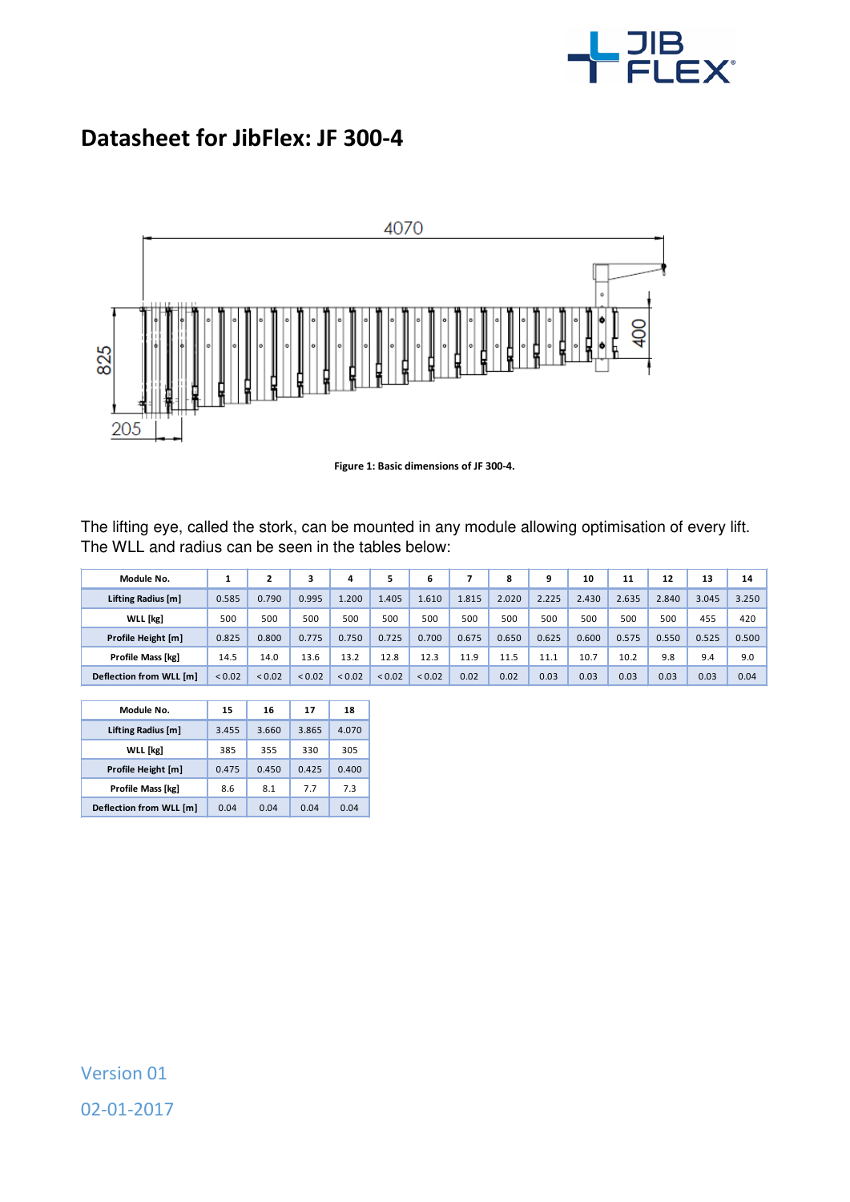

## **Datasheet for JibFlex: JF 300-4**



**Figure 1: Basic dimensions of JF 300-4.** 

The lifting eye, called the stork, can be mounted in any module allowing optimisation of every lift. The WLL and radius can be seen in the tables below:

| Module No.              |             |        |        | 4      |             | 6      |       | 8     | q     | 10    | 11    | 12    | 13    | 14    |
|-------------------------|-------------|--------|--------|--------|-------------|--------|-------|-------|-------|-------|-------|-------|-------|-------|
| Lifting Radius [m]      | 0.585       | 0.790  | 0.995  | .200   | 1.405       | 1.610  | 1.815 | 2.020 | 2.225 | 2.430 | 2.635 | 2.840 | 3.045 | 3.250 |
| WLL [kg]                | 500         | 500    | 500    | 500    | 500         | 500    | 500   | 500   | 500   | 500   | 500   | 500   | 455   | 420   |
| Profile Height [m]      | 0.825       | 0.800  | 0.775  | 0.750  | 0.725       | 0.700  | 0.675 | 0.650 | 0.625 | 0.600 | 0.575 | 0.550 | 0.525 | 0.500 |
| Profile Mass [kg]       | 14.5        | 14.0   | 13.6   | 13.2   | 12.8        | 12.3   | 11.9  | 11.5  | 11.1  | 10.7  | 10.2  | 9.8   | 9.4   | 9.0   |
| Deflection from WLL [m] | ${}_{0.02}$ | < 0.02 | < 0.02 | < 0.02 | ${}_{0.02}$ | < 0.02 | 0.02  | 0.02  | 0.03  | 0.03  | 0.03  | 0.03  | 0.03  | 0.04  |

| Module No.              | 15    | 16    | 17    | 18    |  |
|-------------------------|-------|-------|-------|-------|--|
| Lifting Radius [m]      | 3.455 | 3.660 | 3.865 | 4.070 |  |
| <b>WLL</b> [kg]         | 385   | 355   | 330   | 305   |  |
| Profile Height [m]      | 0.475 | 0.450 | 0.425 | 0.400 |  |
| Profile Mass [kg]       | 8.6   | 8.1   | 77    | 7.3   |  |
| Deflection from WLL [m] | 0.04  | 0.04  | 0.04  | 0.04  |  |